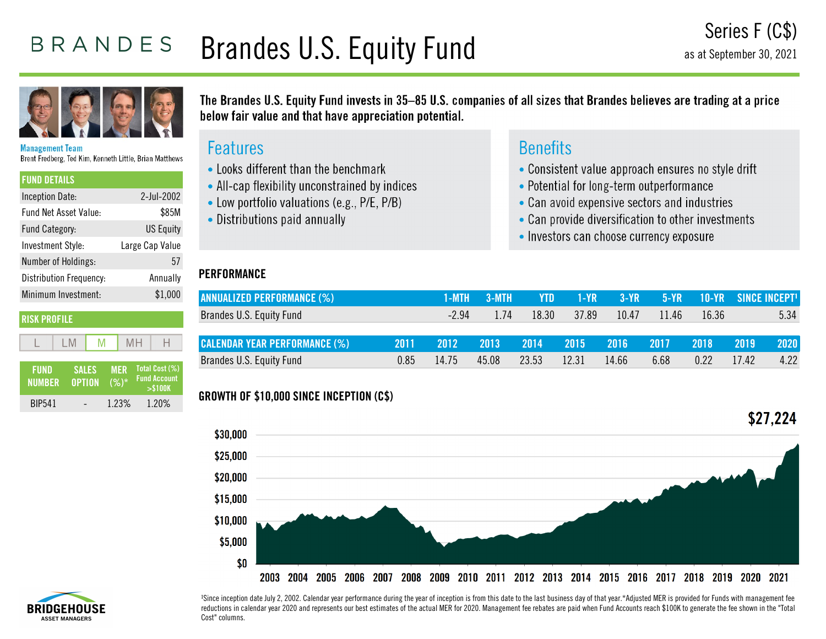# BRANDES Brandes U.S. Equity Fund



Management Team Brent Fredberg, Ted Kim, Kenneth Little, Brian Matthews

| <b>FUND DETAILS</b>          |                  |
|------------------------------|------------------|
| Inception Date:              | 2-Jul-2002       |
| <b>Fund Net Asset Value:</b> | \$85M            |
| Fund Category:               | <b>US Equity</b> |
| Investment Style:            | Large Cap Value  |
| Number of Holdings:          | 57               |
| Distribution Frequency:      | Annually         |
| Minimum Investment:          | \$1,000          |
|                              |                  |

### **RISK PROFILE**

 $M$ 

| FUND<br><b>NUMBER</b> | <b>SALES</b><br><b>OPTION</b> | <b>MFR</b><br>$(%)^*$ | Total Cost (%)<br><b>Fund Account</b><br>> \$100K |
|-----------------------|-------------------------------|-----------------------|---------------------------------------------------|
| <b>BIP541</b>         |                               | 1.23%                 | 1.20%                                             |

 $MH$ 

The Brandes U.S. Equity Fund invests in 35–85 U.S. companies of all sizes that Brandes believes are trading at a price below fair value and that have appreciation potential.

## **Features**

- Looks different than the benchmark
- All-cap flexibility unconstrained by indices
- Low portfolio valuations (e.g., P/E, P/B)
- Distributions paid annually

## **PERFORMANCE**

# **Benefits**

- Consistent value approach ensures no style drift
- Potential for long-term outperformance
- Can avoid expensive sectors and industries
- Can provide diversification to other investments
- Investors can choose currency exposure

| ANNUALIZED PERFORMANCE (%)           |      | 1-MTH  | -3-MTH | YTD.  | <b>SI-YRAN</b> | $3-YP$   | $5-YR$ |       | <b>10-YR SINCE INCEPT!</b> |      |
|--------------------------------------|------|--------|--------|-------|----------------|----------|--------|-------|----------------------------|------|
| Brandes U.S. Equity Fund             |      | $-294$ | 1.74   | 18.30 | 37.89          | 10.47    | 11.46  | 16.36 |                            | 5.34 |
|                                      |      |        |        |       |                |          |        |       |                            |      |
| <b>CALENDAR YEAR PERFORMANCE (%)</b> | 2011 | ,20121 | 2013   | 2014  | 2015           | - 2016 - | 2017   | 2018  | 2019                       | 2020 |
| Brandes U.S. Equity Fund             | 0.85 | 14 75  | 45.08  | 23.53 | 12.31          | 14.66    | 6.68   | 0.22  | 1742                       | 4.22 |

## **GROWTH OF \$10,000 SINCE INCEPTION (C\$)**





<sup>1</sup>Since inception date July 2, 2002. Calendar year performance during the year of inception is from this date to the last business day of that year.\*Adjusted MER is provided for Funds with management fee reductions in calendar year 2020 and represents our best estimates of the actual MER for 2020. Management fee rebates are paid when Fund Accounts reach \$100K to generate the fee shown in the "Total Cost" columns.